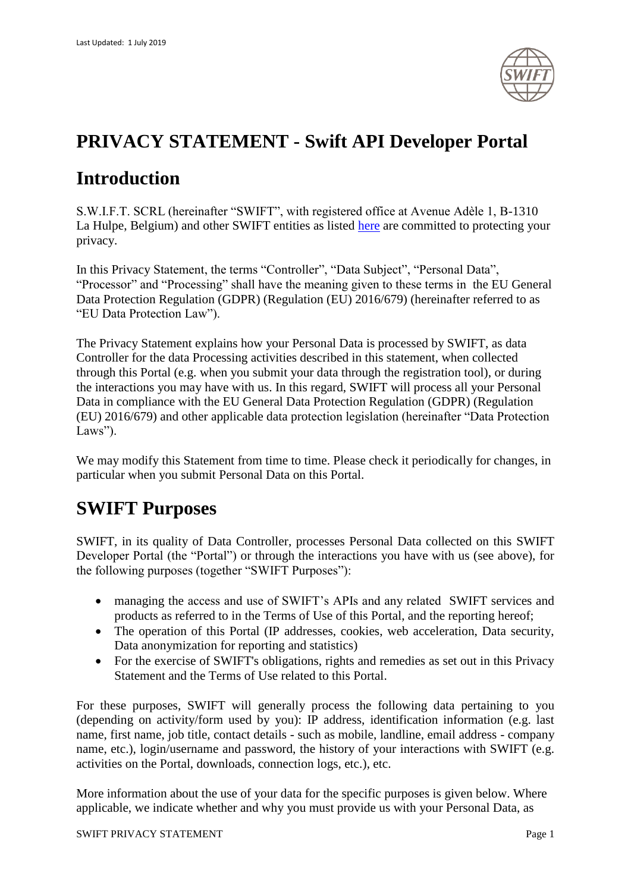

## **PRIVACY STATEMENT - Swift API Developer Portal**

## **Introduction**

S.W.I.F.T. SCRL (hereinafter "SWIFT", with registered office at Avenue Adèle 1, B-1310 La Hulpe, Belgium) and other SWIFT entities as listed [here](https://www.swift.com/contact-us) are committed to protecting your privacy.

In this Privacy Statement, the terms "Controller", "Data Subject", "Personal Data", "Processor" and "Processing" shall have the meaning given to these terms in the EU General Data Protection Regulation (GDPR) (Regulation (EU) 2016/679) (hereinafter referred to as "EU Data Protection Law").

The Privacy Statement explains how your Personal Data is processed by SWIFT, as data Controller for the data Processing activities described in this statement, when collected through this Portal (e.g. when you submit your data through the registration tool), or during the interactions you may have with us. In this regard, SWIFT will process all your Personal Data in compliance with the EU General Data Protection Regulation (GDPR) (Regulation (EU) 2016/679) and other applicable data protection legislation (hereinafter "Data Protection Laws").

We may modify this Statement from time to time. Please check it periodically for changes, in particular when you submit Personal Data on this Portal.

## **SWIFT Purposes**

SWIFT, in its quality of Data Controller, processes Personal Data collected on this SWIFT Developer Portal (the "Portal") or through the interactions you have with us (see above), for the following purposes (together "SWIFT Purposes"):

- managing the access and use of SWIFT's APIs and any related SWIFT services and products as referred to in the Terms of Use of this Portal, and the reporting hereof;
- The operation of this Portal (IP addresses, cookies, web acceleration, Data security, Data anonymization for reporting and statistics)
- For the exercise of SWIFT's obligations, rights and remedies as set out in this Privacy Statement and the Terms of Use related to this Portal.

For these purposes, SWIFT will generally process the following data pertaining to you (depending on activity/form used by you): IP address, identification information (e.g. last name, first name, job title, contact details - such as mobile, landline, email address - company name, etc.), login/username and password, the history of your interactions with SWIFT (e.g. activities on the Portal, downloads, connection logs, etc.), etc.

More information about the use of your data for the specific purposes is given below. Where applicable, we indicate whether and why you must provide us with your Personal Data, as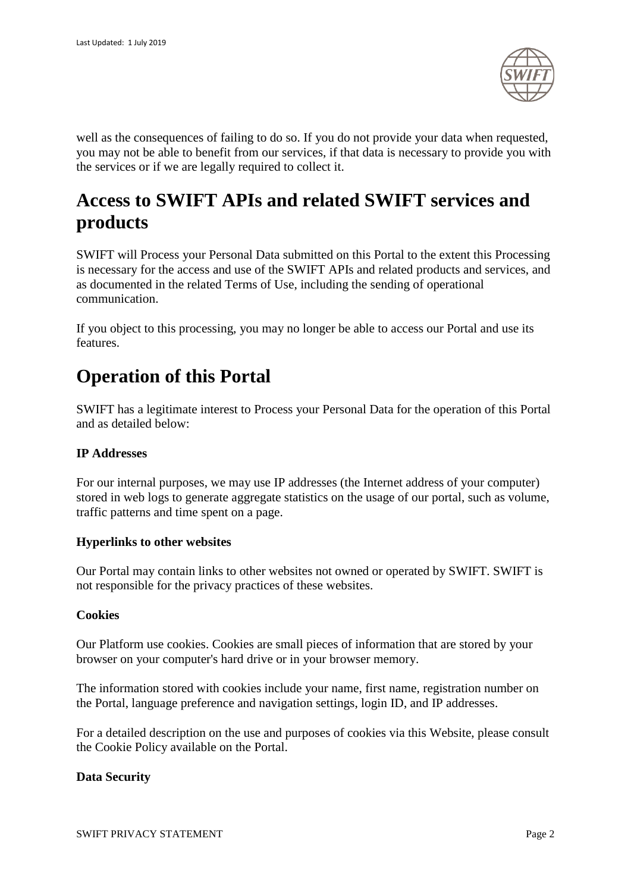

well as the consequences of failing to do so. If you do not provide your data when requested, you may not be able to benefit from our services, if that data is necessary to provide you with the services or if we are legally required to collect it.

# **Access to SWIFT APIs and related SWIFT services and products**

SWIFT will Process your Personal Data submitted on this Portal to the extent this Processing is necessary for the access and use of the SWIFT APIs and related products and services, and as documented in the related Terms of Use, including the sending of operational communication.

If you object to this processing, you may no longer be able to access our Portal and use its features.

## **Operation of this Portal**

SWIFT has a legitimate interest to Process your Personal Data for the operation of this Portal and as detailed below:

### **IP Addresses**

For our internal purposes, we may use IP addresses (the Internet address of your computer) stored in web logs to generate aggregate statistics on the usage of our portal, such as volume, traffic patterns and time spent on a page.

### **Hyperlinks to other websites**

Our Portal may contain links to other websites not owned or operated by SWIFT. SWIFT is not responsible for the privacy practices of these websites.

#### **Cookies**

Our Platform use cookies. Cookies are small pieces of information that are stored by your browser on your computer's hard drive or in your browser memory.

The information stored with cookies include your name, first name, registration number on the Portal, language preference and navigation settings, login ID, and IP addresses.

For a detailed description on the use and purposes of cookies via this Website, please consult the Cookie Policy available on the Portal.

#### **Data Security**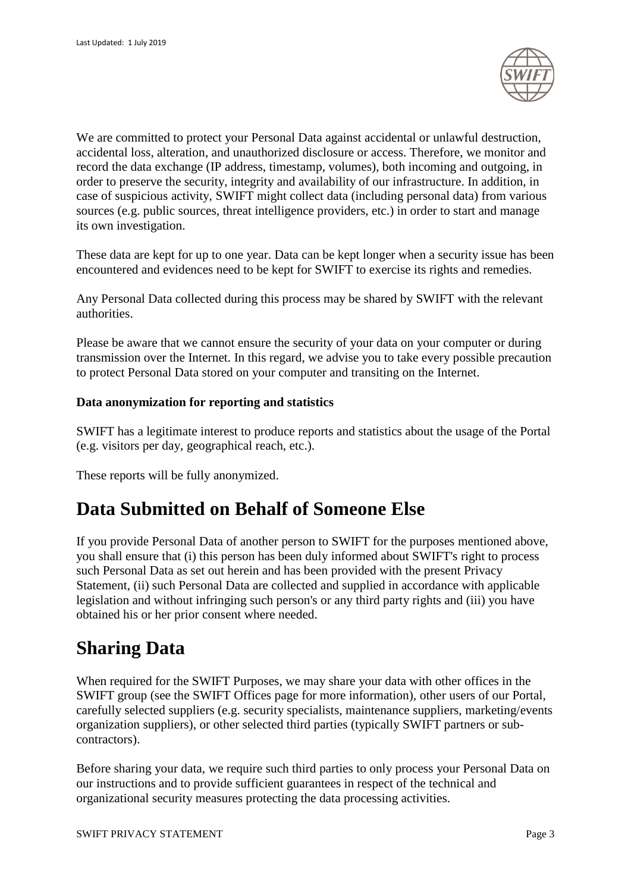

We are committed to protect your Personal Data against accidental or unlawful destruction, accidental loss, alteration, and unauthorized disclosure or access. Therefore, we monitor and record the data exchange (IP address, timestamp, volumes), both incoming and outgoing, in order to preserve the security, integrity and availability of our infrastructure. In addition, in case of suspicious activity, SWIFT might collect data (including personal data) from various sources (e.g. public sources, threat intelligence providers, etc.) in order to start and manage its own investigation.

These data are kept for up to one year. Data can be kept longer when a security issue has been encountered and evidences need to be kept for SWIFT to exercise its rights and remedies.

Any Personal Data collected during this process may be shared by SWIFT with the relevant authorities.

Please be aware that we cannot ensure the security of your data on your computer or during transmission over the Internet. In this regard, we advise you to take every possible precaution to protect Personal Data stored on your computer and transiting on the Internet.

### **Data anonymization for reporting and statistics**

SWIFT has a legitimate interest to produce reports and statistics about the usage of the Portal (e.g. visitors per day, geographical reach, etc.).

These reports will be fully anonymized.

## **Data Submitted on Behalf of Someone Else**

If you provide Personal Data of another person to SWIFT for the purposes mentioned above, you shall ensure that (i) this person has been duly informed about SWIFT's right to process such Personal Data as set out herein and has been provided with the present Privacy Statement, (ii) such Personal Data are collected and supplied in accordance with applicable legislation and without infringing such person's or any third party rights and (iii) you have obtained his or her prior consent where needed.

## **Sharing Data**

When required for the SWIFT Purposes, we may share your data with other offices in the SWIFT group (see the SWIFT Offices page for more information), other users of our Portal, carefully selected suppliers (e.g. security specialists, maintenance suppliers, marketing/events organization suppliers), or other selected third parties (typically SWIFT partners or subcontractors).

Before sharing your data, we require such third parties to only process your Personal Data on our instructions and to provide sufficient guarantees in respect of the technical and organizational security measures protecting the data processing activities.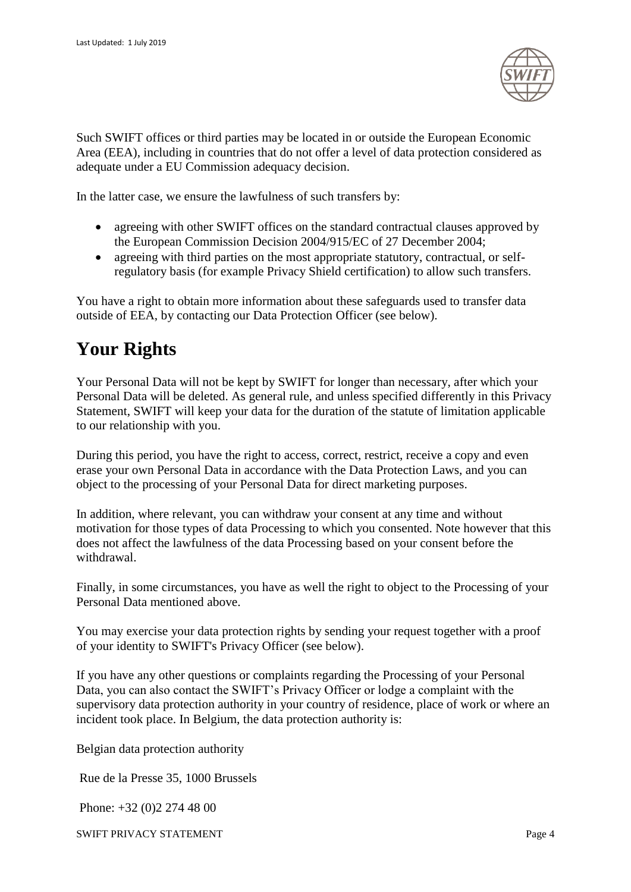

Such SWIFT offices or third parties may be located in or outside the European Economic Area (EEA), including in countries that do not offer a level of data protection considered as adequate under a EU Commission adequacy decision.

In the latter case, we ensure the lawfulness of such transfers by:

- agreeing with other SWIFT offices on the standard contractual clauses approved by the European Commission Decision 2004/915/EC of 27 December 2004;
- agreeing with third parties on the most appropriate statutory, contractual, or selfregulatory basis (for example Privacy Shield certification) to allow such transfers.

You have a right to obtain more information about these safeguards used to transfer data outside of EEA, by contacting our Data Protection Officer (see below).

# **Your Rights**

Your Personal Data will not be kept by SWIFT for longer than necessary, after which your Personal Data will be deleted. As general rule, and unless specified differently in this Privacy Statement, SWIFT will keep your data for the duration of the statute of limitation applicable to our relationship with you.

During this period, you have the right to access, correct, restrict, receive a copy and even erase your own Personal Data in accordance with the Data Protection Laws, and you can object to the processing of your Personal Data for direct marketing purposes.

In addition, where relevant, you can withdraw your consent at any time and without motivation for those types of data Processing to which you consented. Note however that this does not affect the lawfulness of the data Processing based on your consent before the withdrawal.

Finally, in some circumstances, you have as well the right to object to the Processing of your Personal Data mentioned above.

You may exercise your data protection rights by sending your request together with a proof of your identity to SWIFT's Privacy Officer (see below).

If you have any other questions or complaints regarding the Processing of your Personal Data, you can also contact the SWIFT's Privacy Officer or lodge a complaint with the supervisory data protection authority in your country of residence, place of work or where an incident took place. In Belgium, the data protection authority is:

Belgian data protection authority

Rue de la Presse 35, 1000 Brussels

Phone: +32 (0)2 274 48 00

SWIFT PRIVACY STATEMENT Page 4